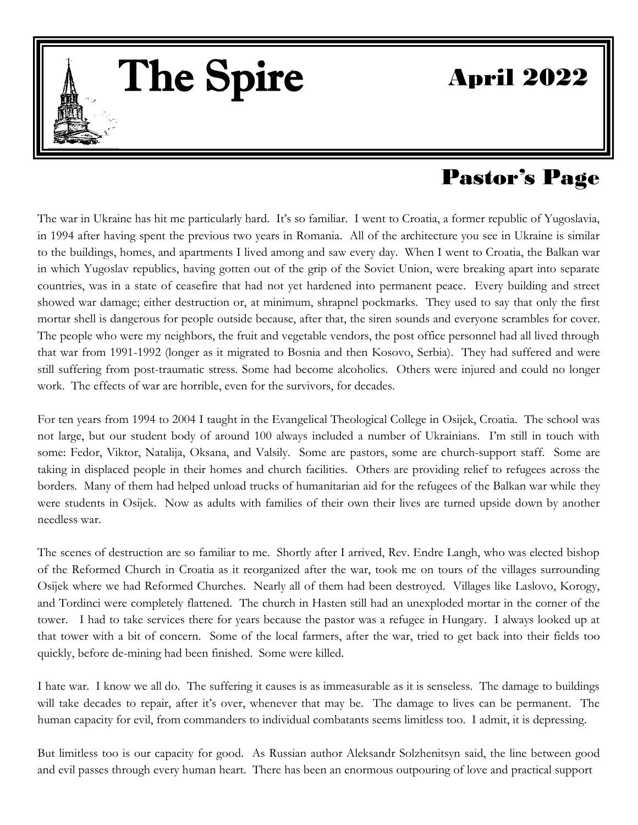# April 2022

# Pastor's Page

The war in Ukraine has hit me particularly hard. It's so familiar. I went to Croatia, a former republic of Yugoslavia, in 1994 after having spent the previous two years in Romania. All of the architecture you see in Ukraine is similar to the buildings, homes, and apartments I lived among and saw every day. When I went to Croatia, the Balkan war in which Yugoslav republics, having gotten out of the grip of the Soviet Union, were breaking apart into separate countries, was in a state of ceasefire that had not yet hardened into permanent peace. Every building and st countries, was in a state of ceasefire that had not yet hardened into permanent peace. Every building and street showed war damage; either destruction or, at minimum, shrapnel pockmarks. They used to say that only the first mortar shell is dangerous for people outside because, after that, the siren sounds and everyone scrambles for cover. The people who were my neighbors, the fruit and vegetable vendors, the post office personnel had all lived through<br>that war from 1991-1992 (longer as it migrated to Bosnia and then Kosovo, Serbia). They had suffered and we that war from 1991-1992 (longer as it migrated to Bosnia and then Kosovo, Serbia). They had suffered and were still suffering from post-traumatic stress. Some had become alcoholics. Others were injured and could no longer work. The effects of war are horrible, even for the survivors, for decades.  $he$ <sub>11</sub>

The Spire

 $\|$  . The set of  $\|$ 

For ten years from 1994 to 2004 I taught in the Evangelical Theological College in Osijek, Croatia. The school was not large, but our student body of around 100 always included a number of Ukrainians. I'm still in touch with some: Fedor, Viktor, Natalija, Oksana, and Valsily. Some are pastors, some are church-support staff. Some are not large, but our student body of around 100 always included a number of Ukrainians. The still in touch with<br>some: Fedor, Viktor, Natalija, Oksana, and Valsily. Some are pastors, some are church-support staff. Some are<br>ta borders. Many of them had helped unload trucks of humanitarian aid for the refugees of the Balkan war while they were students in Osijek. Now as adults with families of their own their lives are turned upside down by another needless war.

The scenes of destruction are so familiar to me. Shortly after I arrived, Rev. Endre Langh, who was elected bishop of the Reformed Church in Croatia as it reorganized after the war, took me on tours of the villages surrounding Osijek where we had Reformed Churches. Nearly all of them had been destroyed. Villages like Laslovo, Korogy, and Tordinci were completely flattened. The church in Hasten still had an unexploded mortar in the corner of the tower. I had to take services there for years because the pastor was a refugee in Hungary. I always looked up at that tower with a bit of concern. Some of the local farmers, after the war, tried to get back into their fields too quickly, before de-mining had been finished. Some were killed.

I hate war. I know we all do. The suffering it causes is as immeasurable as it is senseless. The damage to buildings will take decades to repair, after it's over, whenever that may be. The damage to lives can be permanent. The human capacity for evil, from commanders to individual combatants seems limitless too. I admit, it is depressing.

But limitless too is our capacity for good. As Russian author Aleksandr Solzhenitsyn said, the line between good and evil passes through every human heart. There has been an enormous outpouring of love and practical support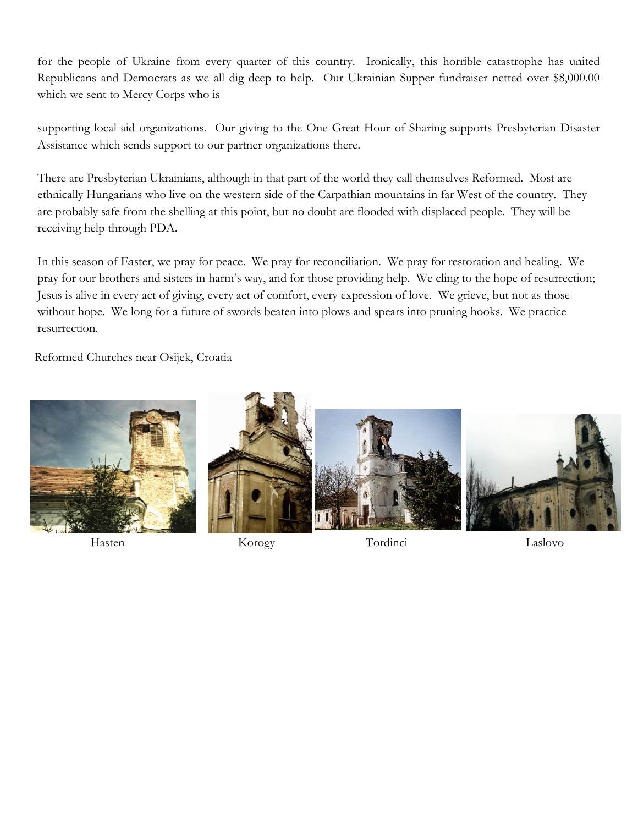for the people of Ukraine from every quarter of this country. Ironically, this horrible catastrophe has united Republicans and Democrats as we all dig deep to help. Our Ukrainian Supper fundraiser netted over \$8,000.00 which we sent to Mercy Corps who is

supporting local aid organizations. Our giving to the One Great Hour of Sharing supports Presbyterian Disaster Assistance which sends support to our partner organizations there.

There are Presbyterian Ukrainians, although in that part of the world they call themselves Reformed. Most are ethnically Hungarians who live on the western side of the Carpathian mountains in far West of the country. They are probably safe from the shelling at this point, but no doubt are flooded with displaced people. They will be receiving help through PDA.

In this season of Easter, we pray for peace. We pray for reconciliation. We pray for restoration and healing. We pray for our brothers and sisters in harm's way, and for those providing help. We cling to the hope of resurrection; Jesus is alive in every act of giving, every act of comfort, every expression of love. We grieve, but not as those without hope. We long for a future of swords beaten into plows and spears into pruning hooks. We practice resurrection.

Reformed Churches near Osijek, Croatia



Hasten Korogy Tordinci Laslovo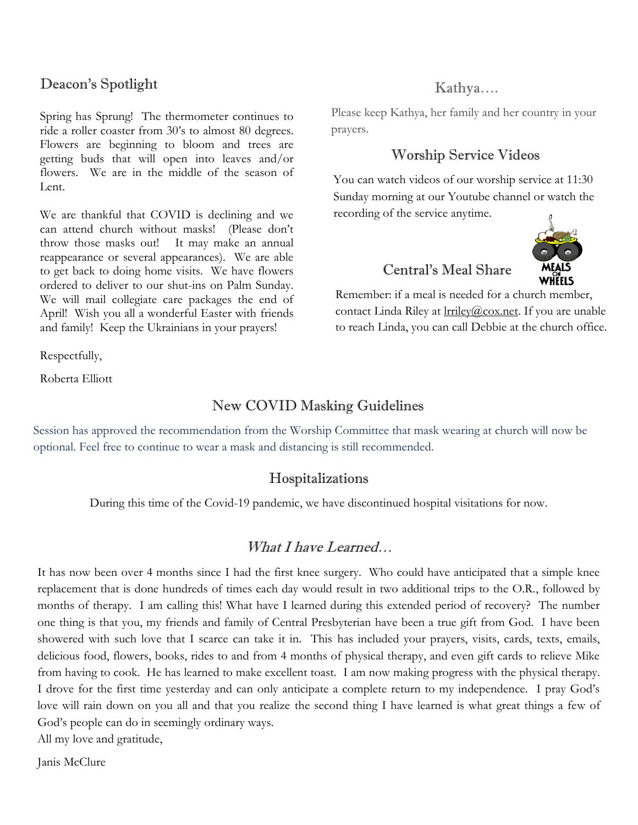## Deacon's Spotlight

Spring has Sprung! The thermometer continues to ride a roller coaster from 30's to almost 80 degrees. Flowers are beginning to bloom and trees are getting buds that will open into leaves and/or flowers. We are in the middle of the season of Lent.

We are thankful that COVID is declining and we can attend church without masks! (Please don't throw those masks out! It may make an annual reappearance or several appearances). We are able to get back to doing home visits. We have flowers ordered to deliver to our shut-ins on Palm Sunday. We will mail collegiate care packages the end of April! Wish you all a wonderful Easter with friends and family! Keep the Ukrainians in your prayers!

Respectfully,

Roberta Elliott

#### New COVID Masking Guidelines

Session has approved the recommendation from the Worship Committee that mask wearing at church will now be optional. Feel free to continue to wear a mask and distancing is still recommended.

#### Hospitalizations

During this time of the Covid-19 pandemic, we have discontinued hospital visitations for now.

#### What I have Learned…

It has now been over 4 months since I had the first knee surgery. Who could have anticipated that a simple knee replacement that is done hundreds of times each day would result in two additional trips to the O.R., followed by replacement that is done hundreds of times each day would result in two additional trips to the O.R., follow months of therapy. I am calling this! What have I learned during this extended period of recovery? The number one thing is that you, my friends and family of Central Presbyterian have been a true gift from God. I have been showered with such love that I scarce can take it in. This has included your prayers, visits, cards, texts, emails, delicious food, flowers, books, rides to and from 4 months of physical therapy, and even gift cards to relieve Mike from having to cook. He has learned to make excellent toast. I am now making progress with the physical therapy. I drove for the first time yesterday and can only anticipate a complete return to my independence. I pray God's love will rain down on you all and that you realize the second thing I have learned is what great things a few of God's people can do in seemingly ordinary ways.

All my love and gratitude,

Janis McClure

# Kathya….

Please keep Kathya, her family and her country in your prayers.

# Worship Service Videos

You can watch videos of our worship service at 11:30 Sunday morning at our Youtube channel or watch the recording of the service anytime.



# Central's Meal Share

Remember: if a meal is needed for a church member, contact Linda Riley at **Irriley@cox.net**. If you are unable to reach Linda, you can call Debbie at the church office.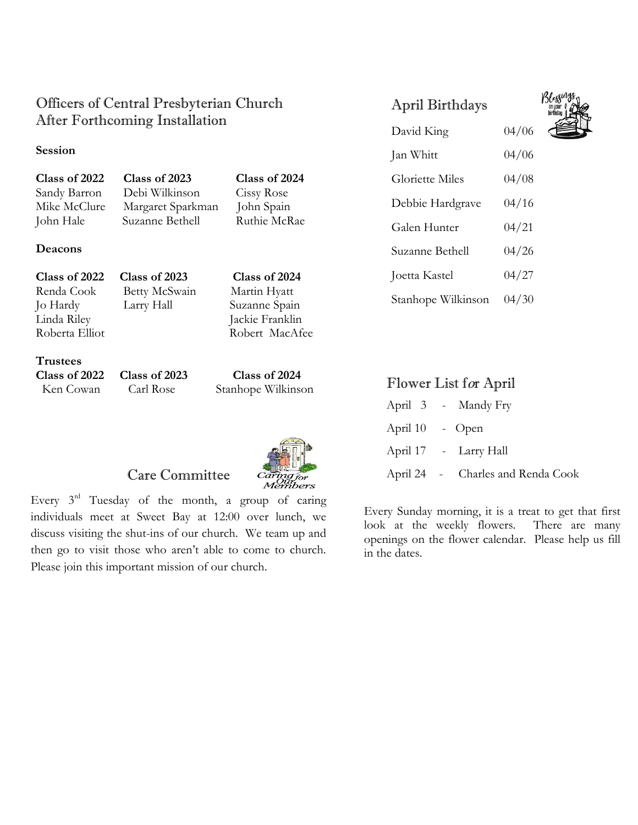# Officers of Central Presbyterian Church After Forthcoming Installation

#### **Session**

**Class of 2022 Class of 2023 Class of 2024** Sandy Barron Debi Wilkinson Cissy Rose<br>
Mike McClure Margaret Sparkman John Spain John Hale Suzanne Bethell Ruthie McRae

Margaret Sparkman John Spain

#### **Deacons**

| <b>Class of 2022</b> | Class of 2023 | Class of 2024   |
|----------------------|---------------|-----------------|
| Renda Cook           | Betty McSwain | Martin Hyatt    |
| Jo Hardy             | Larry Hall    | Suzanne Spain   |
| Linda Riley          |               | Jackie Franklin |
| Roberta Elliot       |               | Robert MacAfee  |
|                      |               |                 |

**Trustees**

**Class of 2022 Class of 2023 Class of 2024** Ken Cowan Carl Rose Stanhope Wilkinson



#### Care Committee

Every  $3<sup>rd</sup>$  Tuesday of the month, a group of caring individuals meet at Sweet Bay at 12:00 over lunch, we discuss visiting the shut-ins of our church. We team up and then go to visit those who aren't able to come to church. Please join this important mission of our church.

# April Birthdays



|  | Flower List for April |  |  |  |
|--|-----------------------|--|--|--|
|--|-----------------------|--|--|--|

Stanhope Wilkinson 04/30

|                 | April 3 - Mandy Fry               |
|-----------------|-----------------------------------|
| April 10 - Open |                                   |
|                 | April 17 - Larry Hall             |
|                 | April 24 - Charles and Renda Cook |

Every Sunday morning, it is a treat to get that first look at the weekly flowers. There are many openings on the flower calendar. Please help us fill in the dates.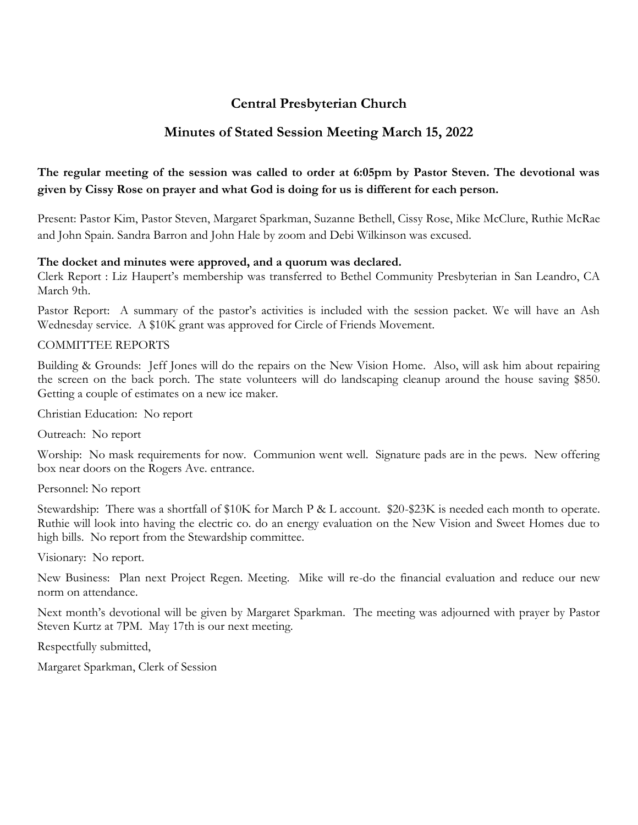## **Central Presbyterian Church**

#### **Minutes of Stated Session Meeting March 15, 2022**

#### **The regular meeting of the session was called to order at 6:05pm by Pastor Steven. The devotional was given by Cissy Rose on prayer and what God is doing for us is different for each person.**

Present: Pastor Kim, Pastor Steven, Margaret Sparkman, Suzanne Bethell, Cissy Rose, Mike McClure, Ruthie McRae and John Spain. Sandra Barron and John Hale by zoom and Debi Wilkinson was excused.

#### **The docket and minutes were approved, and a quorum was declared.**

Clerk Report : Liz Haupert's membership was transferred to Bethel Community Presbyterian in San Leandro, CA March 9th.

Pastor Report: A summary of the pastor's activities is included with the session packet. We will have an Ash Wednesday service. A \$10K grant was approved for Circle of Friends Movement.

#### COMMITTEE REPORTS

Building & Grounds: Jeff Jones will do the repairs on the New Vision Home. Also, will ask him about repairing the screen on the back porch. The state volunteers will do landscaping cleanup around the house saving \$850. Getting a couple of estimates on a new ice maker.

Christian Education: No report

Outreach: No report

Worship: No mask requirements for now. Communion went well. Signature pads are in the pews. New offering box near doors on the Rogers Ave. entrance.

Personnel: No report

Stewardship: There was a shortfall of \$10K for March P & L account. \$20-\$23K is needed each month to operate. Ruthie will look into having the electric co. do an energy evaluation on the New Vision and Sweet Homes due to high bills. No report from the Stewardship committee.

Visionary: No report.

New Business: Plan next Project Regen. Meeting. Mike will re-do the financial evaluation and reduce our new norm on attendance.

Next month's devotional will be given by Margaret Sparkman. The meeting was adjourned with prayer by Pastor Steven Kurtz at 7PM. May 17th is our next meeting.

Respectfully submitted,

Margaret Sparkman, Clerk of Session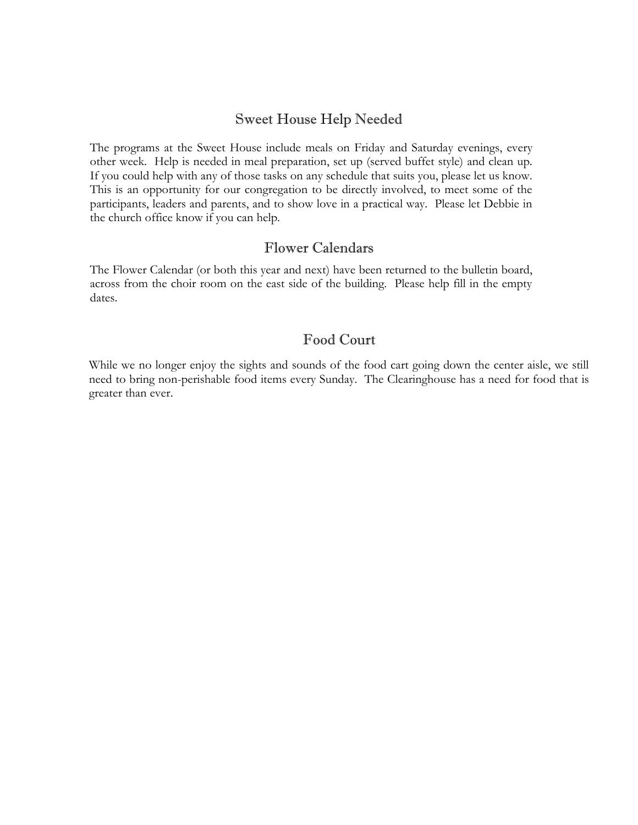### Sweet House Help Needed

The programs at the Sweet House include meals on Friday and Saturday evenings, every other week. Help is needed in meal preparation, set up (served buffet style) and clean up. If you could help with any of those tasks on any schedule that suits you, please let us know. This is an opportunity for our congregation to be directly involved, to meet some of the participants, leaders and parents, and to show love in a practical way. Please let Debbie in the church office know if you can help.

#### Flower Calendars

The Flower Calendar (or both this year and next) have been returned to the bulletin board, across from the choir room on the east side of the building. Please help fill in the empty dates.

#### Food Court

While we no longer enjoy the sights and sounds of the food cart going down the center aisle, we still need to bring non-perishable food items every Sunday. The Clearinghouse has a need for food that is greater than ever.